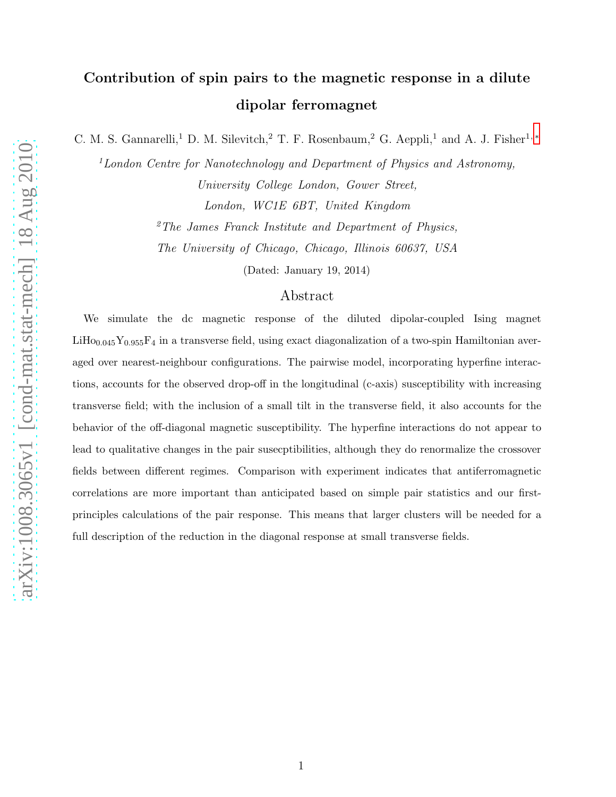# Contribution of spin pairs to the magnetic response in a dilute dipolar ferromagnet

C. M. S. Gannarelli,<sup>1</sup> D. M. Silevitch,<sup>2</sup> T. F. Rosenbaum,<sup>2</sup> G. Aeppli,<sup>1</sup> and A. J. Fisher<sup>1,\*</sup>

 $1$ London Centre for Nanotechnology and Department of Physics and Astronomy, University College London, Gower Street, London, WC1E 6BT, United Kingdom

 ${}^{2}$ The James Franck Institute and Department of Physics,

The University of Chicago, Chicago, Illinois 60637, USA

(Dated: January 19, 2014)

# Abstract

We simulate the dc magnetic response of the diluted dipolar-coupled Ising magnet  $LiHo_{0.045}Y_{0.955}F_4$  in a transverse field, using exact diagonalization of a two-spin Hamiltonian averaged over nearest-neighbour configurations. The pairwise model, incorporating hyperfine interactions, accounts for the observed drop-off in the longitudinal (c-axis) susceptibility with increasing transverse field; with the inclusion of a small tilt in the transverse field, it also accounts for the behavior of the off-diagonal magnetic susceptibility. The hyperfine interactions do not appear to lead to qualitative changes in the pair susecptibilities, although they do renormalize the crossover fields between different regimes. Comparison with experiment indicates that antiferromagnetic correlations are more important than anticipated based on simple pair statistics and our firstprinciples calculations of the pair response. This means that larger clusters will be needed for a full description of the reduction in the diagonal response at small transverse fields.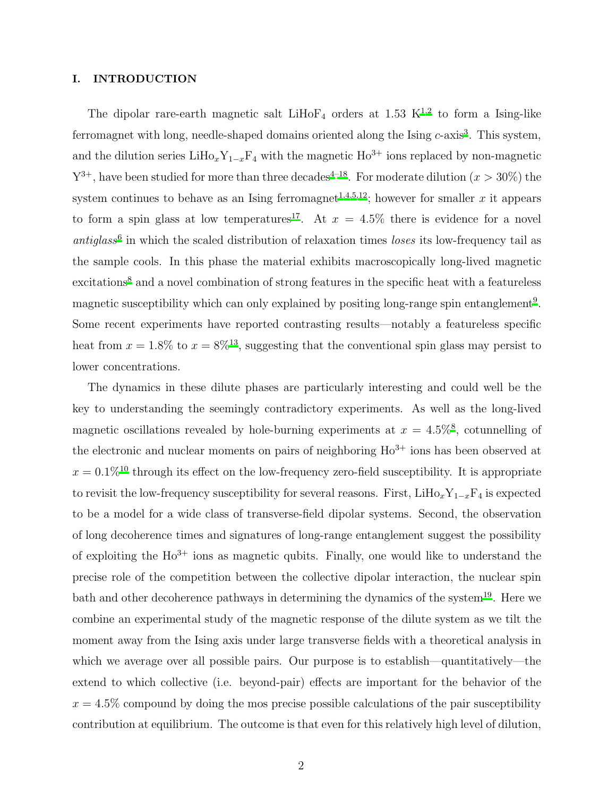# I. INTRODUCTION

The dipolar rare-earth magnetic salt  $LiHoF<sub>4</sub>$  orders at [1](#page-16-1).53 K<sup>1[,2](#page-16-2)</sup> to form a Ising-like ferromagnet with long, needle-shaped domains oriented along the Ising  $c$ -axis<sup>[3](#page-16-3)</sup>. This system, and the dilution series LiHo<sub>x</sub>Y<sub>1-x</sub>F<sub>4</sub> with the magnetic Ho<sup>3+</sup> ions replaced by non-magnetic  $Y^{3+}$ , have been studied for more than three decades<sup>[4](#page-16-4)-18</sup>. For moderate dilution  $(x > 30\%)$  the system continues to behave as an Ising ferromagnet<sup>[1](#page-16-1)[,4](#page-16-4)[,5](#page-17-1)[,12](#page-17-2)</sup>; however for smaller x it appears to form a spin glass at low temperatures<sup>[17](#page-17-3)</sup>. At  $x = 4.5\%$  there is evidence for a novel  $antiglass<sup>6</sup>$  $antiglass<sup>6</sup>$  $antiglass<sup>6</sup>$  in which the scaled distribution of relaxation times *loses* its low-frequency tail as the sample cools. In this phase the material exhibits macroscopically long-lived magnetic excitations<sup>[8](#page-17-5)</sup> and a novel combination of strong features in the specific heat with a featureless magnetic susceptibility which can only explained by positing long-range spin entanglement<sup>[9](#page-17-6)</sup>. Some recent experiments have reported contrasting results—notably a featureless specific heat from  $x = 1.8\%$  to  $x = 8\%^{13}$  $x = 8\%^{13}$  $x = 8\%^{13}$ , suggesting that the conventional spin glass may persist to lower concentrations.

The dynamics in these dilute phases are particularly interesting and could well be the key to understanding the seemingly contradictory experiments. As well as the long-lived magnetic oscillations revealed by hole-burning experiments at  $x = 4.5\%$ <sup>[8](#page-17-5)</sup>, cotunnelling of the electronic and nuclear moments on pairs of neighboring  $Ho^{3+}$  ions has been observed at  $x = 0.1\%$ <sup>[10](#page-17-8)</sup> through its effect on the low-frequency zero-field susceptibility. It is appropriate to revisit the low-frequency susceptibility for several reasons. First,  $\text{LiHo}_x\text{Y}_{1-x}\text{F}_4$  is expected to be a model for a wide class of transverse-field dipolar systems. Second, the observation of long decoherence times and signatures of long-range entanglement suggest the possibility of exploiting the  $Ho^{3+}$  ions as magnetic qubits. Finally, one would like to understand the precise role of the competition between the collective dipolar interaction, the nuclear spin bath and other decoherence pathways in determining the dynamics of the system[19](#page-17-9). Here we combine an experimental study of the magnetic response of the dilute system as we tilt the moment away from the Ising axis under large transverse fields with a theoretical analysis in which we average over all possible pairs. Our purpose is to establish—quantitatively—the extend to which collective (i.e. beyond-pair) effects are important for the behavior of the  $x = 4.5\%$  compound by doing the mos precise possible calculations of the pair susceptibility contribution at equilibrium. The outcome is that even for this relatively high level of dilution,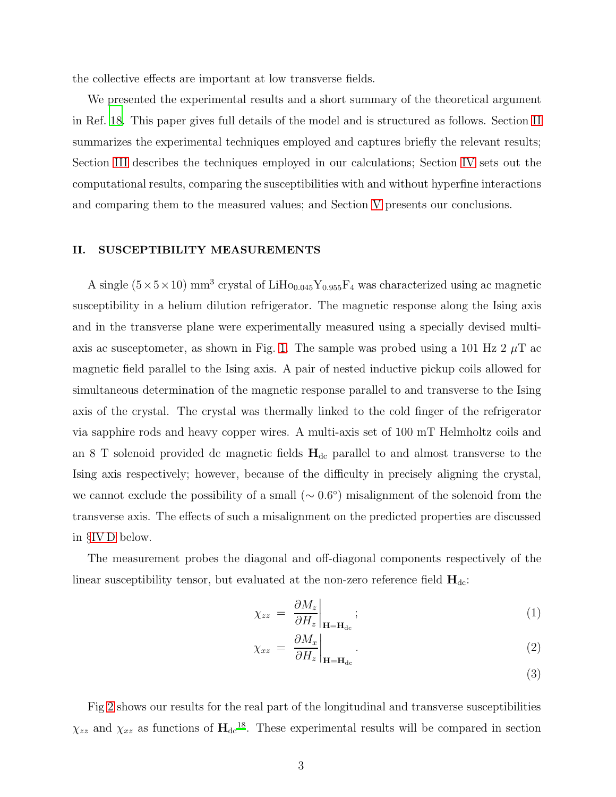the collective effects are important at low transverse fields.

We presented the experimental results and a short summary of the theoretical argument in Ref. [18](#page-17-0). This paper gives full details of the model and is structured as follows. Section [II](#page-2-0) summarizes the experimental techniques employed and captures briefly the relevant results; Section [III](#page-4-0) describes the techniques employed in our calculations; Section [IV](#page-9-0) sets out the computational results, comparing the susceptibilities with and without hyperfine interactions and comparing them to the measured values; and Section [V](#page-14-0) presents our conclusions.

# <span id="page-2-0"></span>II. SUSCEPTIBILITY MEASUREMENTS

A single  $(5 \times 5 \times 10)$  mm<sup>3</sup> crystal of LiH<sub>00.045</sub>Y<sub>0.955</sub>F<sub>4</sub> was characterized using ac magnetic susceptibility in a helium dilution refrigerator. The magnetic response along the Ising axis and in the transverse plane were experimentally measured using a specially devised multi-axis ac susceptometer, as shown in Fig. [1.](#page-3-0) The sample was probed using a 101 Hz  $2 \mu$ T ac magnetic field parallel to the Ising axis. A pair of nested inductive pickup coils allowed for simultaneous determination of the magnetic response parallel to and transverse to the Ising axis of the crystal. The crystal was thermally linked to the cold finger of the refrigerator via sapphire rods and heavy copper wires. A multi-axis set of 100 mT Helmholtz coils and an 8 T solenoid provided dc magnetic fields  $H_{dc}$  parallel to and almost transverse to the Ising axis respectively; however, because of the difficulty in precisely aligning the crystal, we cannot exclude the possibility of a small  $(\sim 0.6^{\circ})$  misalignment of the solenoid from the transverse axis. The effects of such a misalignment on the predicted properties are discussed in §[IV D](#page-12-0) below.

The measurement probes the diagonal and off-diagonal components respectively of the linear susceptibility tensor, but evaluated at the non-zero reference field  $H_{dc}$ :

$$
\chi_{zz} = \left. \frac{\partial M_z}{\partial H_z} \right|_{\mathbf{H} = \mathbf{H}_{\text{dc}}};
$$
\n(1)

$$
\chi_{xz} = \left. \frac{\partial M_x}{\partial H_z} \right|_{\mathbf{H} = \mathbf{H}_{\text{dc}}}.
$$
\n(2)

(3)

Fig [2](#page-4-1) shows our results for the real part of the longitudinal and transverse susceptibilities  $\chi_{zz}$  and  $\chi_{xz}$  as functions of  $H_{dc}^{18}$  $H_{dc}^{18}$  $H_{dc}^{18}$ . These experimental results will be compared in section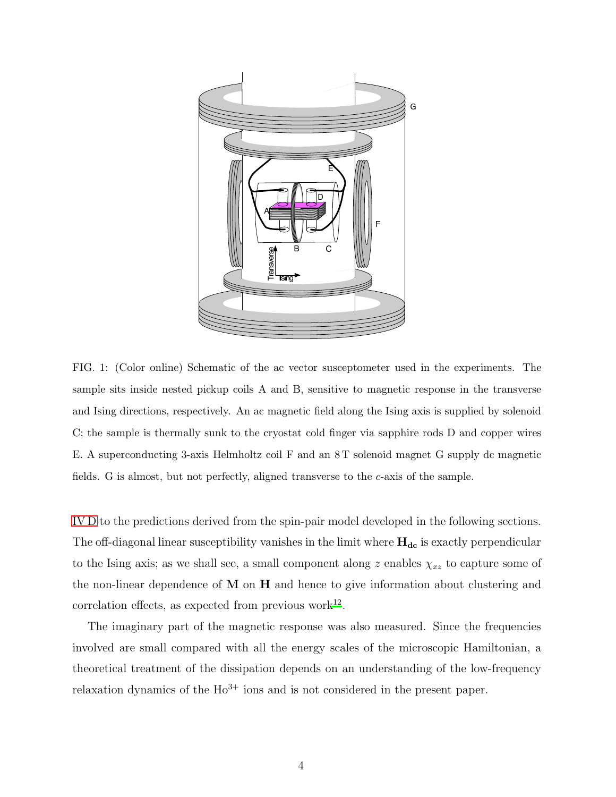

<span id="page-3-0"></span>FIG. 1: (Color online) Schematic of the ac vector susceptometer used in the experiments. The sample sits inside nested pickup coils A and B, sensitive to magnetic response in the transverse and Ising directions, respectively. An ac magnetic field along the Ising axis is supplied by solenoid C; the sample is thermally sunk to the cryostat cold finger via sapphire rods D and copper wires E. A superconducting 3-axis Helmholtz coil F and an 8 T solenoid magnet G supply dc magnetic fields. G is almost, but not perfectly, aligned transverse to the c-axis of the sample.

[IV D](#page-12-0) to the predictions derived from the spin-pair model developed in the following sections. The off-diagonal linear susceptibility vanishes in the limit where  $H_{dc}$  is exactly perpendicular to the Ising axis; as we shall see, a small component along z enables  $\chi_{xz}$  to capture some of the non-linear dependence of  $M$  on  $H$  and hence to give information about clustering and correlation effects, as expected from previous work $^{12}$  $^{12}$  $^{12}$ .

The imaginary part of the magnetic response was also measured. Since the frequencies involved are small compared with all the energy scales of the microscopic Hamiltonian, a theoretical treatment of the dissipation depends on an understanding of the low-frequency relaxation dynamics of the  $Ho^{3+}$  ions and is not considered in the present paper.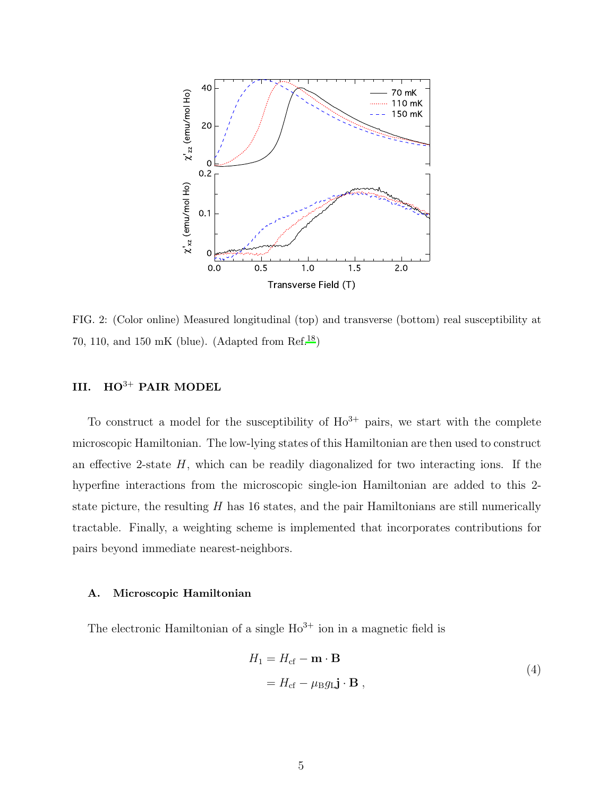

<span id="page-4-1"></span>FIG. 2: (Color online) Measured longitudinal (top) and transverse (bottom) real susceptibility at 70, 110, and 150 mK (blue). (Adapted from  $\text{Ref.}^{18}$  $\text{Ref.}^{18}$  $\text{Ref.}^{18}$ )

# <span id="page-4-0"></span>III. HO3+ PAIR MODEL

To construct a model for the susceptibility of  $Ho^{3+}$  pairs, we start with the complete microscopic Hamiltonian. The low-lying states of this Hamiltonian are then used to construct an effective 2-state  $H$ , which can be readily diagonalized for two interacting ions. If the hyperfine interactions from the microscopic single-ion Hamiltonian are added to this 2 state picture, the resulting  $H$  has 16 states, and the pair Hamiltonians are still numerically tractable. Finally, a weighting scheme is implemented that incorporates contributions for pairs beyond immediate nearest-neighbors.

# A. Microscopic Hamiltonian

The electronic Hamiltonian of a single  $Ho^{3+}$  ion in a magnetic field is

$$
H_1 = H_{cf} - \mathbf{m} \cdot \mathbf{B}
$$
  
=  $H_{cf} - \mu_B g_{L} \mathbf{j} \cdot \mathbf{B}$ , (4)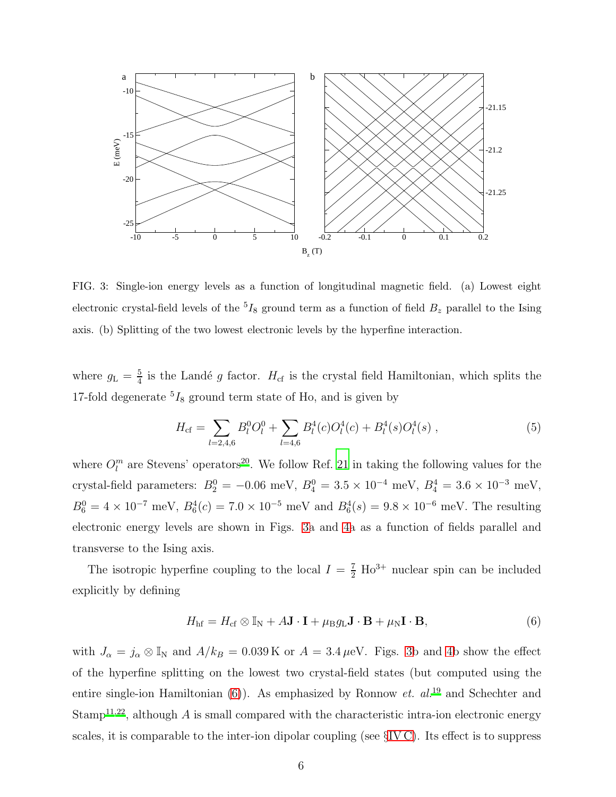

<span id="page-5-0"></span>FIG. 3: Single-ion energy levels as a function of longitudinal magnetic field. (a) Lowest eight electronic crystal-field levels of the  ${}^{5}I_{8}$  ground term as a function of field  $B_{z}$  parallel to the Ising axis. (b) Splitting of the two lowest electronic levels by the hyperfine interaction.

where  $g_L = \frac{5}{4}$  $\frac{5}{4}$  is the Landé g factor.  $H_{\text{cf}}$  is the crystal field Hamiltonian, which splits the 17-fold degenerate  ${}^{5}I_{8}$  ground term state of Ho, and is given by

$$
H_{\rm cf} = \sum_{l=2,4,6} B_l^0 O_l^0 + \sum_{l=4,6} B_l^4(c) O_l^4(c) + B_l^4(s) O_l^4(s) , \qquad (5)
$$

where  $O_l^m$  are Stevens' operators<sup>[20](#page-17-10)</sup>. We follow Ref. [21](#page-17-11) in taking the following values for the crystal-field parameters:  $B_2^0 = -0.06 \text{ meV}, B_4^0 = 3.5 \times 10^{-4} \text{ meV}, B_4^4 = 3.6 \times 10^{-3} \text{ meV},$  $B_6^0 = 4 \times 10^{-7}$  meV,  $B_6^4(c) = 7.0 \times 10^{-5}$  meV and  $B_6^4(s) = 9.8 \times 10^{-6}$  meV. The resulting electronic energy levels are shown in Figs. [3a](#page-5-0) and [4a](#page-6-0) as a function of fields parallel and transverse to the Ising axis.

The isotropic hyperfine coupling to the local  $I = \frac{7}{2}$  Ho<sup>3+</sup> nuclear spin can be included explicitly by defining

<span id="page-5-1"></span>
$$
H_{\rm hf} = H_{\rm cf} \otimes \mathbb{I}_{\rm N} + A\mathbf{J} \cdot \mathbf{I} + \mu_{\rm B} g_{\rm L} \mathbf{J} \cdot \mathbf{B} + \mu_{\rm N} \mathbf{I} \cdot \mathbf{B},\tag{6}
$$

with  $J_{\alpha} = j_{\alpha} \otimes I_{N}$  and  $A/k_{B} = 0.039 \text{ K}$  or  $A = 3.4 \mu\text{eV}$ . Figs. [3b](#page-5-0) and [4b](#page-6-0) show the effect of the hyperfine splitting on the lowest two crystal-field states (but computed using the entire single-ion Hamiltonian  $(6)$ ). As emphasized by Ronnow *et.*  $al^{19}$  $al^{19}$  $al^{19}$  and Schechter and Stamp<sup>[11](#page-17-12)[,22](#page-17-13)</sup>, although  $A$  is small compared with the characteristic intra-ion electronic energy scales, it is comparable to the inter-ion dipolar coupling (see §[IV C\)](#page-11-0). Its effect is to suppress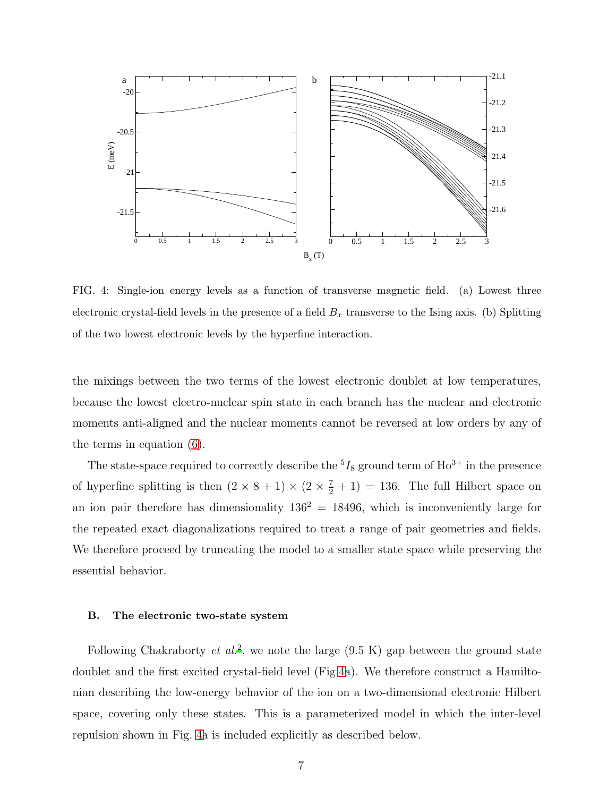

<span id="page-6-0"></span>FIG. 4: Single-ion energy levels as a function of transverse magnetic field. (a) Lowest three electronic crystal-field levels in the presence of a field  $B_x$  transverse to the Ising axis. (b) Splitting of the two lowest electronic levels by the hyperfine interaction.

the mixings between the two terms of the lowest electronic doublet at low temperatures, because the lowest electro-nuclear spin state in each branch has the nuclear and electronic moments anti-aligned and the nuclear moments cannot be reversed at low orders by any of the terms in equation [\(6\)](#page-5-1).

The state-space required to correctly describe the  ${}^{5}I_{8}$  ground term of  $\text{Ho}^{3+}$  in the presence of hyperfine splitting is then  $(2 \times 8 + 1) \times (2 \times \frac{7}{2} + 1) = 136$ . The full Hilbert space on an ion pair therefore has dimensionality  $136^2 = 18496$ , which is inconveniently large for the repeated exact diagonalizations required to treat a range of pair geometries and fields. We therefore proceed by truncating the model to a smaller state space while preserving the essential behavior.

#### B. The electronic two-state system

Following Chakraborty et  $al^2$  $al^2$ , we note the large  $(9.5 \text{ K})$  gap between the ground state doublet and the first excited crystal-field level (Fig[.4a](#page-6-0)). We therefore construct a Hamiltonian describing the low-energy behavior of the ion on a two-dimensional electronic Hilbert space, covering only these states. This is a parameterized model in which the inter-level repulsion shown in Fig. [4a](#page-6-0) is included explicitly as described below.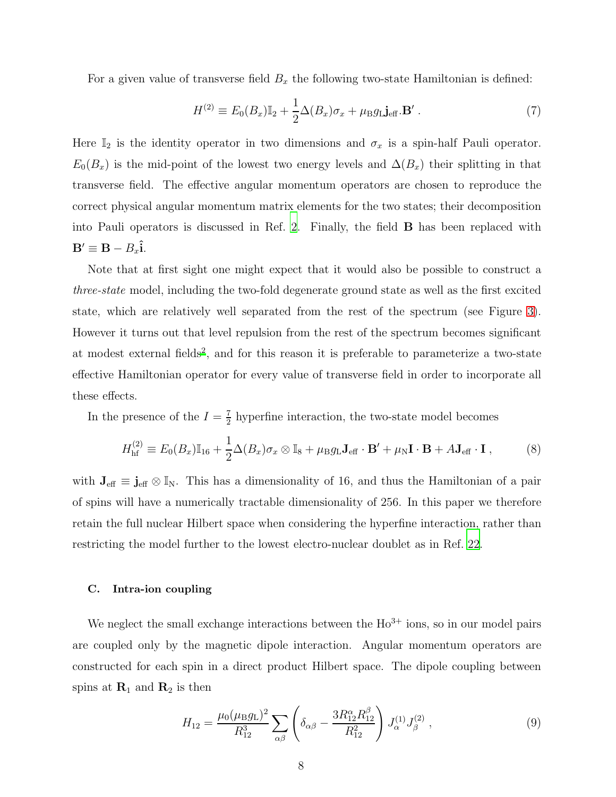For a given value of transverse field  $B_x$  the following two-state Hamiltonian is defined:

<span id="page-7-0"></span>
$$
H^{(2)} \equiv E_0(B_x)\mathbb{I}_2 + \frac{1}{2}\Delta(B_x)\sigma_x + \mu_\text{B}g_\text{L}\mathbf{j}_{\text{eff}}.\mathbf{B}'\,. \tag{7}
$$

Here  $\mathbb{I}_2$  is the identity operator in two dimensions and  $\sigma_x$  is a spin-half Pauli operator.  $E_0(B_x)$  is the mid-point of the lowest two energy levels and  $\Delta(B_x)$  their splitting in that transverse field. The effective angular momentum operators are chosen to reproduce the correct physical angular momentum matrix elements for the two states; their decomposition into Pauli operators is discussed in Ref. [2](#page-16-2). Finally, the field B has been replaced with  $\mathbf{B}' \equiv \mathbf{B} - B_x \hat{\mathbf{i}}.$ 

Note that at first sight one might expect that it would also be possible to construct a three-state model, including the two-fold degenerate ground state as well as the first excited state, which are relatively well separated from the rest of the spectrum (see Figure [3\)](#page-5-0). However it turns out that level repulsion from the rest of the spectrum becomes significant at modest external fields<sup>[2](#page-16-2)</sup>, and for this reason it is preferable to parameterize a two-state effective Hamiltonian operator for every value of transverse field in order to incorporate all these effects.

In the presence of the  $I=\frac{7}{2}$  $\frac{7}{2}$  hyperfine interaction, the two-state model becomes

$$
H_{\rm hf}^{(2)} \equiv E_0(B_x)\mathbb{I}_{16} + \frac{1}{2}\Delta(B_x)\sigma_x \otimes \mathbb{I}_8 + \mu_{\rm B}g_{\rm L}\mathbf{J}_{\rm eff}\cdot\mathbf{B}' + \mu_{\rm N}\mathbf{I}\cdot\mathbf{B} + A\mathbf{J}_{\rm eff}\cdot\mathbf{I} \,,\tag{8}
$$

with  $J_{\text{eff}} \equiv j_{\text{eff}} \otimes I_N$ . This has a dimensionality of 16, and thus the Hamiltonian of a pair of spins will have a numerically tractable dimensionality of 256. In this paper we therefore retain the full nuclear Hilbert space when considering the hyperfine interaction, rather than restricting the model further to the lowest electro-nuclear doublet as in Ref. [22.](#page-17-13)

#### C. Intra-ion coupling

We neglect the small exchange interactions between the  $Ho^{3+}$  ions, so in our model pairs are coupled only by the magnetic dipole interaction. Angular momentum operators are constructed for each spin in a direct product Hilbert space. The dipole coupling between spins at  $\mathbf{R}_1$  and  $\mathbf{R}_2$  is then

$$
H_{12} = \frac{\mu_0 (\mu_B g_L)^2}{R_{12}^3} \sum_{\alpha \beta} \left( \delta_{\alpha \beta} - \frac{3 R_{12}^{\alpha} R_{12}^{\beta}}{R_{12}^2} \right) J_{\alpha}^{(1)} J_{\beta}^{(2)} , \qquad (9)
$$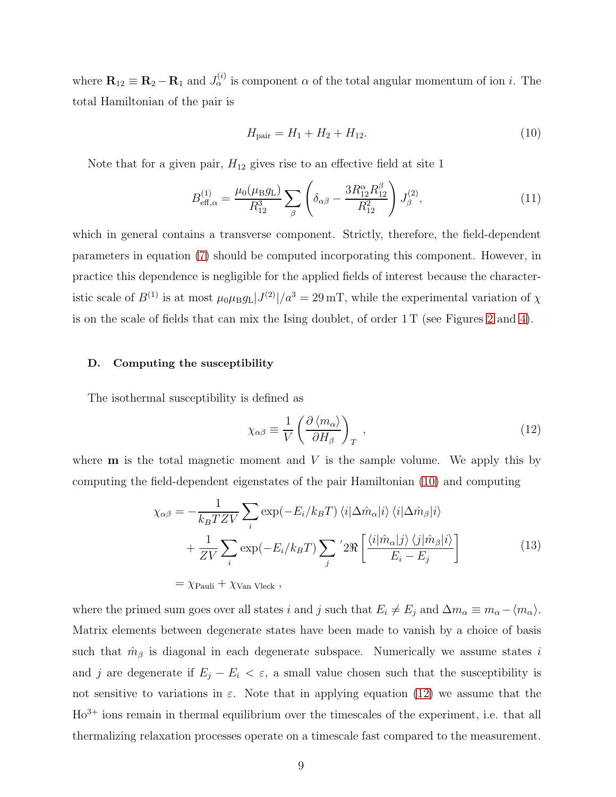where  $\mathbf{R}_{12} \equiv \mathbf{R}_2 - \mathbf{R}_1$  and  $J_\alpha^{(i)}$  is component  $\alpha$  of the total angular momentum of ion *i*. The total Hamiltonian of the pair is

<span id="page-8-0"></span>
$$
H_{\text{pair}} = H_1 + H_2 + H_{12}.\tag{10}
$$

Note that for a given pair,  $H_{12}$  gives rise to an effective field at site 1

$$
B_{\text{eff},\alpha}^{(1)} = \frac{\mu_0(\mu_\text{B} g_\text{L})}{R_{12}^3} \sum_{\beta} \left( \delta_{\alpha\beta} - \frac{3R_{12}^\alpha R_{12}^\beta}{R_{12}^2} \right) J_{\beta}^{(2)},\tag{11}
$$

which in general contains a transverse component. Strictly, therefore, the field-dependent parameters in equation [\(7\)](#page-7-0) should be computed incorporating this component. However, in practice this dependence is negligible for the applied fields of interest because the characteristic scale of  $B^{(1)}$  is at most  $\mu_0 \mu_B g_L |J^{(2)}|/a^3 = 29 \,\text{mT}$ , while the experimental variation of  $\chi$ is on the scale of fields that can mix the Ising doublet, of order  $1 T$  (see Figures [2](#page-4-1) and [4\)](#page-6-0).

#### D. Computing the susceptibility

The isothermal susceptibility is defined as

<span id="page-8-1"></span>
$$
\chi_{\alpha\beta} \equiv \frac{1}{V} \left( \frac{\partial \langle m_{\alpha} \rangle}{\partial H_{\beta}} \right)_{T} , \qquad (12)
$$

where  **is the total magnetic moment and**  $V$  **is the sample volume. We apply this by** computing the field-dependent eigenstates of the pair Hamiltonian [\(10\)](#page-8-0) and computing

$$
\chi_{\alpha\beta} = -\frac{1}{k_B T Z V} \sum_{i} \exp(-E_i / k_B T) \langle i | \Delta \hat{m}_{\alpha} | i \rangle \langle i | \Delta \hat{m}_{\beta} | i \rangle + \frac{1}{Z V} \sum_{i} \exp(-E_i / k_B T) \sum_{j}^{\prime} 2 \Re \left[ \frac{\langle i | \hat{m}_{\alpha} | j \rangle \langle j | \hat{m}_{\beta} | i \rangle}{E_i - E_j} \right]
$$
(13)

$$
= \chi_{\rm Pauli} + \chi_{\rm Van \ Vleck} \ ,
$$

where the primed sum goes over all states i and j such that  $E_i \neq E_j$  and  $\Delta m_\alpha \equiv m_\alpha - \langle m_\alpha \rangle$ . Matrix elements between degenerate states have been made to vanish by a choice of basis such that  $\hat{m}_{\beta}$  is diagonal in each degenerate subspace. Numerically we assume states i and j are degenerate if  $E_j - E_i < \varepsilon$ , a small value chosen such that the susceptibility is not sensitive to variations in  $\varepsilon$ . Note that in applying equation [\(12\)](#page-8-1) we assume that the Ho3+ ions remain in thermal equilibrium over the timescales of the experiment, i.e. that all thermalizing relaxation processes operate on a timescale fast compared to the measurement.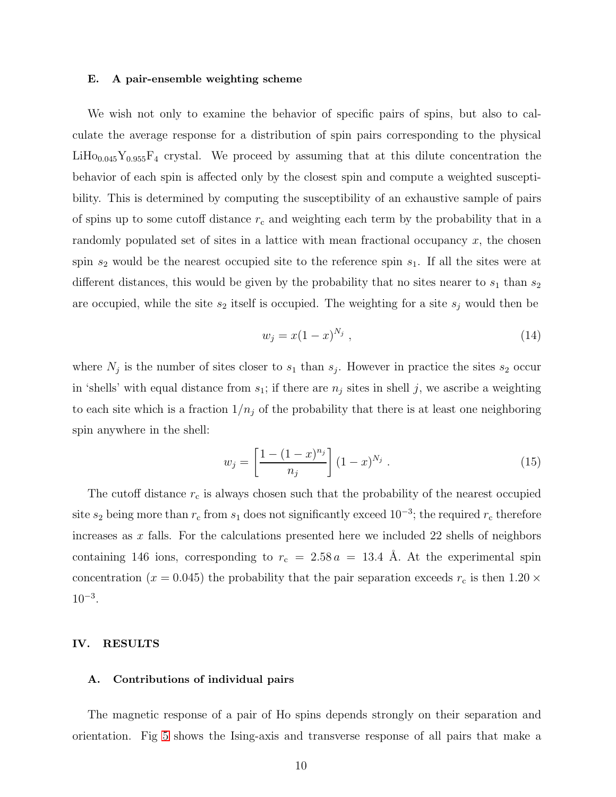#### <span id="page-9-1"></span>E. A pair-ensemble weighting scheme

We wish not only to examine the behavior of specific pairs of spins, but also to calculate the average response for a distribution of spin pairs corresponding to the physical  $LiH_{00.045}Y_{0.955}F_4$  crystal. We proceed by assuming that at this dilute concentration the behavior of each spin is affected only by the closest spin and compute a weighted susceptibility. This is determined by computing the susceptibility of an exhaustive sample of pairs of spins up to some cutoff distance  $r_c$  and weighting each term by the probability that in a randomly populated set of sites in a lattice with mean fractional occupancy  $x$ , the chosen spin  $s_2$  would be the nearest occupied site to the reference spin  $s_1$ . If all the sites were at different distances, this would be given by the probability that no sites nearer to  $s_1$  than  $s_2$ are occupied, while the site  $s_2$  itself is occupied. The weighting for a site  $s_j$  would then be

$$
w_j = x(1-x)^{N_j}, \t\t(14)
$$

where  $N_j$  is the number of sites closer to  $s_1$  than  $s_j$ . However in practice the sites  $s_2$  occur in 'shells' with equal distance from  $s_1$ ; if there are  $n_j$  sites in shell j, we ascribe a weighting to each site which is a fraction  $1/n_j$  of the probability that there is at least one neighboring spin anywhere in the shell:

$$
w_j = \left[\frac{1 - (1 - x)^{n_j}}{n_j}\right] (1 - x)^{N_j} . \tag{15}
$$

The cutoff distance  $r_c$  is always chosen such that the probability of the nearest occupied site  $s_2$  being more than  $r_c$  from  $s_1$  does not significantly exceed  $10^{-3}$ ; the required  $r_c$  therefore increases as  $x$  falls. For the calculations presented here we included 22 shells of neighbors containing 146 ions, corresponding to  $r_c = 2.58 a = 13.4$  Å. At the experimental spin concentration ( $x = 0.045$ ) the probability that the pair separation exceeds  $r_c$  is then 1.20  $\times$  $10^{-3}$ .

#### <span id="page-9-0"></span>IV. RESULTS

# A. Contributions of individual pairs

The magnetic response of a pair of Ho spins depends strongly on their separation and orientation. Fig [5](#page-11-1) shows the Ising-axis and transverse response of all pairs that make a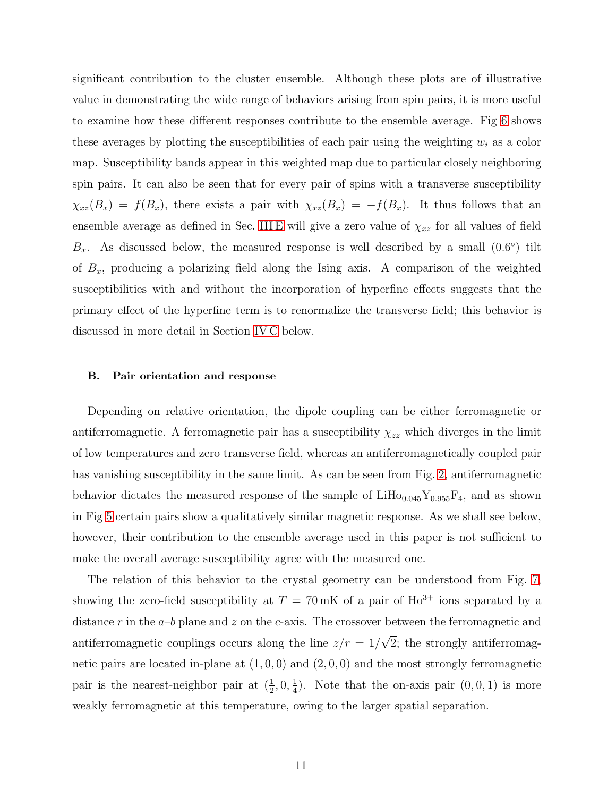significant contribution to the cluster ensemble. Although these plots are of illustrative value in demonstrating the wide range of behaviors arising from spin pairs, it is more useful to examine how these different responses contribute to the ensemble average. Fig [6](#page-12-1) shows these averages by plotting the susceptibilities of each pair using the weighting  $w_i$  as a color map. Susceptibility bands appear in this weighted map due to particular closely neighboring spin pairs. It can also be seen that for every pair of spins with a transverse susceptibility  $\chi_{xz}(B_x) = f(B_x)$ , there exists a pair with  $\chi_{xz}(B_x) = -f(B_x)$ . It thus follows that an ensemble average as defined in Sec. [III E](#page-9-1) will give a zero value of  $\chi_{xz}$  for all values of field  $B_x$ . As discussed below, the measured response is well described by a small  $(0.6^{\circ})$  tilt of  $B_x$ , producing a polarizing field along the Ising axis. A comparison of the weighted susceptibilities with and without the incorporation of hyperfine effects suggests that the primary effect of the hyperfine term is to renormalize the transverse field; this behavior is discussed in more detail in Section [IV C](#page-11-0) below.

#### B. Pair orientation and response

Depending on relative orientation, the dipole coupling can be either ferromagnetic or antiferromagnetic. A ferromagnetic pair has a susceptibility  $\chi_{zz}$  which diverges in the limit of low temperatures and zero transverse field, whereas an antiferromagnetically coupled pair has vanishing susceptibility in the same limit. As can be seen from Fig. [2,](#page-4-1) antiferromagnetic behavior dictates the measured response of the sample of  $\rm LiHo_{0.045}Y_{0.955}F_4,$  and as shown in Fig [5](#page-11-1) certain pairs show a qualitatively similar magnetic response. As we shall see below, however, their contribution to the ensemble average used in this paper is not sufficient to make the overall average susceptibility agree with the measured one.

The relation of this behavior to the crystal geometry can be understood from Fig. [7,](#page-13-0) showing the zero-field susceptibility at  $T = 70 \text{ mK}$  of a pair of Ho<sup>3+</sup> ions separated by a distance r in the  $a-b$  plane and z on the c-axis. The crossover between the ferromagnetic and antiferromagnetic couplings occurs along the line  $z/r = 1/\sqrt{2}$ ; the strongly antiferromagnetic pairs are located in-plane at  $(1, 0, 0)$  and  $(2, 0, 0)$  and the most strongly ferromagnetic pair is the nearest-neighbor pair at  $(\frac{1}{2}, 0, \frac{1}{4})$  $\frac{1}{4}$ ). Note that the on-axis pair  $(0,0,1)$  is more weakly ferromagnetic at this temperature, owing to the larger spatial separation.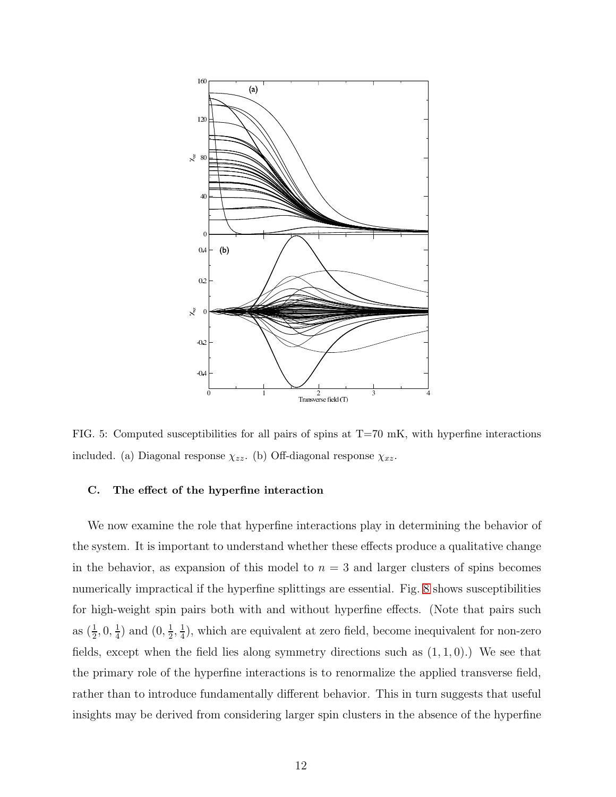

<span id="page-11-1"></span>FIG. 5: Computed susceptibilities for all pairs of spins at  $T=70$  mK, with hyperfine interactions included. (a) Diagonal response  $\chi_{zz}$ . (b) Off-diagonal response  $\chi_{xz}$ .

#### <span id="page-11-0"></span>C. The effect of the hyperfine interaction

We now examine the role that hyperfine interactions play in determining the behavior of the system. It is important to understand whether these effects produce a qualitative change in the behavior, as expansion of this model to  $n = 3$  and larger clusters of spins becomes numerically impractical if the hyperfine splittings are essential. Fig. [8](#page-14-1) shows susceptibilities for high-weight spin pairs both with and without hyperfine effects. (Note that pairs such as  $(\frac{1}{2}, 0, \frac{1}{4})$  $(\frac{1}{4})$  and  $(0, \frac{1}{2})$  $\frac{1}{2}, \frac{1}{4}$  $\frac{1}{4}$ , which are equivalent at zero field, become inequivalent for non-zero fields, except when the field lies along symmetry directions such as  $(1, 1, 0)$ .) We see that the primary role of the hyperfine interactions is to renormalize the applied transverse field, rather than to introduce fundamentally different behavior. This in turn suggests that useful insights may be derived from considering larger spin clusters in the absence of the hyperfine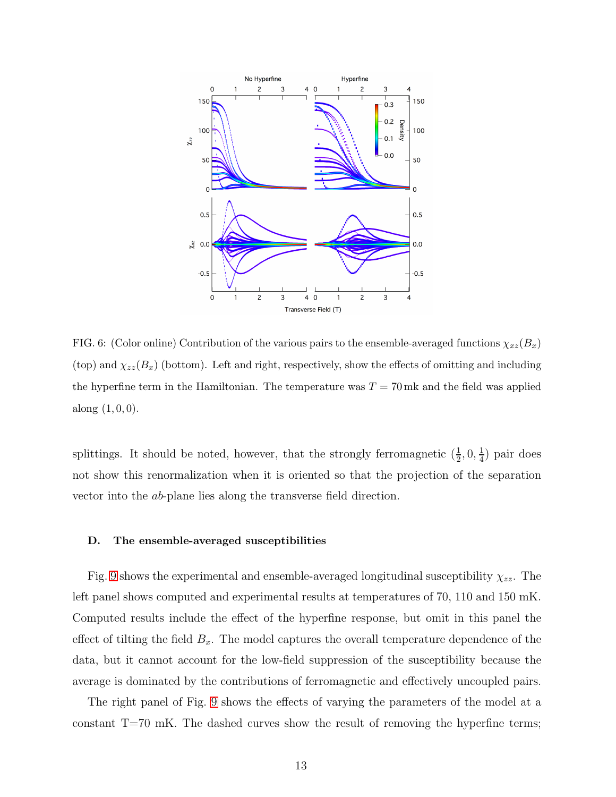

<span id="page-12-1"></span>FIG. 6: (Color online) Contribution of the various pairs to the ensemble-averaged functions  $\chi_{xz}(B_x)$ (top) and  $\chi_{zz}(B_x)$  (bottom). Left and right, respectively, show the effects of omitting and including the hyperfine term in the Hamiltonian. The temperature was  $T = 70$  mk and the field was applied along  $(1, 0, 0)$ .

splittings. It should be noted, however, that the strongly ferromagnetic  $(\frac{1}{2}, 0, \frac{1}{4})$  $\frac{1}{4}$ ) pair does not show this renormalization when it is oriented so that the projection of the separation vector into the ab-plane lies along the transverse field direction.

#### <span id="page-12-0"></span>D. The ensemble-averaged susceptibilities

Fig. [9](#page-15-0) shows the experimental and ensemble-averaged longitudinal susceptibility  $\chi_{zz}$ . The left panel shows computed and experimental results at temperatures of 70, 110 and 150 mK. Computed results include the effect of the hyperfine response, but omit in this panel the effect of tilting the field  $B_x$ . The model captures the overall temperature dependence of the data, but it cannot account for the low-field suppression of the susceptibility because the average is dominated by the contributions of ferromagnetic and effectively uncoupled pairs.

The right panel of Fig. [9](#page-15-0) shows the effects of varying the parameters of the model at a constant T=70 mK. The dashed curves show the result of removing the hyperfine terms;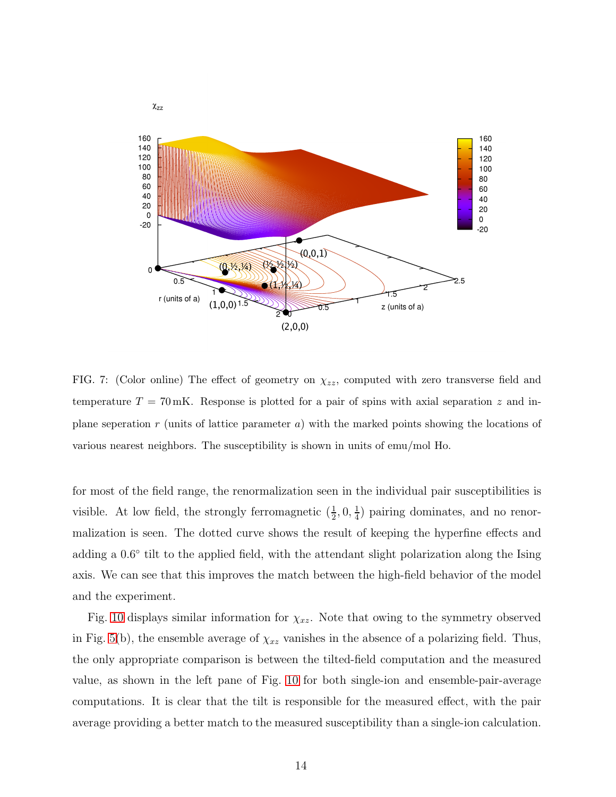

<span id="page-13-0"></span>FIG. 7: (Color online) The effect of geometry on  $\chi_{zz}$ , computed with zero transverse field and temperature  $T = 70$  mK. Response is plotted for a pair of spins with axial separation z and inplane seperation  $r$  (units of lattice parameter  $a$ ) with the marked points showing the locations of various nearest neighbors. The susceptibility is shown in units of emu/mol Ho.

for most of the field range, the renormalization seen in the individual pair susceptibilities is visible. At low field, the strongly ferromagnetic  $(\frac{1}{2}, 0, \frac{1}{4})$  $\frac{1}{4}$ ) pairing dominates, and no renormalization is seen. The dotted curve shows the result of keeping the hyperfine effects and adding a 0.6° tilt to the applied field, with the attendant slight polarization along the Ising axis. We can see that this improves the match between the high-field behavior of the model and the experiment.

Fig. [10](#page-16-5) displays similar information for  $\chi_{xz}$ . Note that owing to the symmetry observed in Fig. [5\(](#page-11-1)b), the ensemble average of  $\chi_{xz}$  vanishes in the absence of a polarizing field. Thus, the only appropriate comparison is between the tilted-field computation and the measured value, as shown in the left pane of Fig. [10](#page-16-5) for both single-ion and ensemble-pair-average computations. It is clear that the tilt is responsible for the measured effect, with the pair average providing a better match to the measured susceptibility than a single-ion calculation.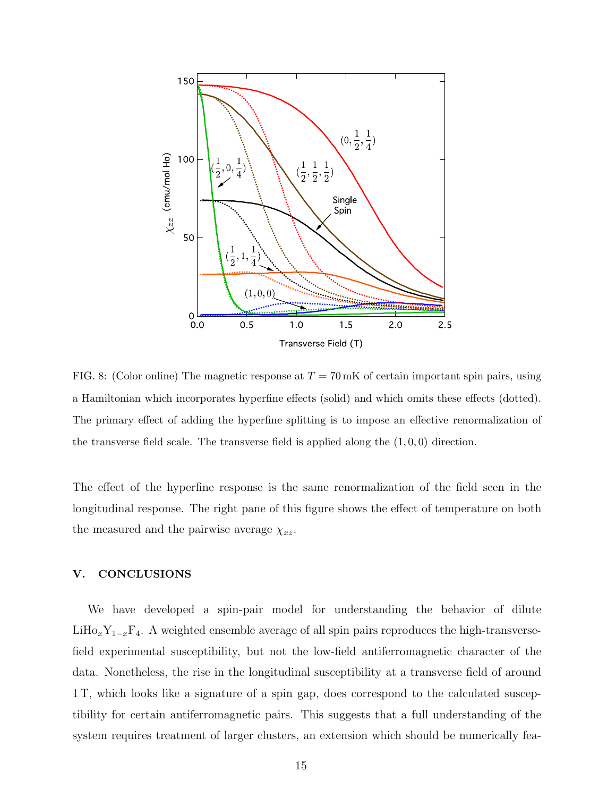

<span id="page-14-1"></span>FIG. 8: (Color online) The magnetic response at  $T = 70 \text{ mK}$  of certain important spin pairs, using a Hamiltonian which incorporates hyperfine effects (solid) and which omits these effects (dotted). The primary effect of adding the hyperfine splitting is to impose an effective renormalization of the transverse field scale. The transverse field is applied along the  $(1, 0, 0)$  direction.

The effect of the hyperfine response is the same renormalization of the field seen in the longitudinal response. The right pane of this figure shows the effect of temperature on both the measured and the pairwise average  $\chi_{xz}$ .

### <span id="page-14-0"></span>V. CONCLUSIONS

We have developed a spin-pair model for understanding the behavior of dilute LiHo<sub>x</sub>Y<sub>1−x</sub>F<sub>4</sub>. A weighted ensemble average of all spin pairs reproduces the high-transversefield experimental susceptibility, but not the low-field antiferromagnetic character of the data. Nonetheless, the rise in the longitudinal susceptibility at a transverse field of around 1 T, which looks like a signature of a spin gap, does correspond to the calculated susceptibility for certain antiferromagnetic pairs. This suggests that a full understanding of the system requires treatment of larger clusters, an extension which should be numerically fea-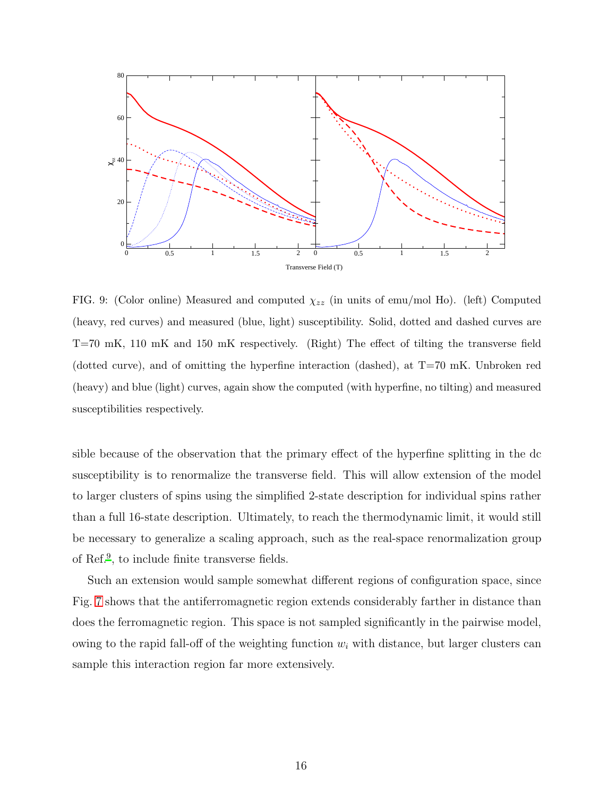![](_page_15_Figure_0.jpeg)

<span id="page-15-0"></span>FIG. 9: (Color online) Measured and computed  $\chi_{zz}$  (in units of emu/mol Ho). (left) Computed (heavy, red curves) and measured (blue, light) susceptibility. Solid, dotted and dashed curves are T=70 mK, 110 mK and 150 mK respectively. (Right) The effect of tilting the transverse field (dotted curve), and of omitting the hyperfine interaction (dashed), at T=70 mK. Unbroken red (heavy) and blue (light) curves, again show the computed (with hyperfine, no tilting) and measured susceptibilities respectively.

sible because of the observation that the primary effect of the hyperfine splitting in the dc susceptibility is to renormalize the transverse field. This will allow extension of the model to larger clusters of spins using the simplified 2-state description for individual spins rather than a full 16-state description. Ultimately, to reach the thermodynamic limit, it would still be necessary to generalize a scaling approach, such as the real-space renormalization group of Ref.[9](#page-17-6) , to include finite transverse fields.

Such an extension would sample somewhat different regions of configuration space, since Fig. [7](#page-13-0) shows that the antiferromagnetic region extends considerably farther in distance than does the ferromagnetic region. This space is not sampled significantly in the pairwise model, owing to the rapid fall-off of the weighting function  $w_i$  with distance, but larger clusters can sample this interaction region far more extensively.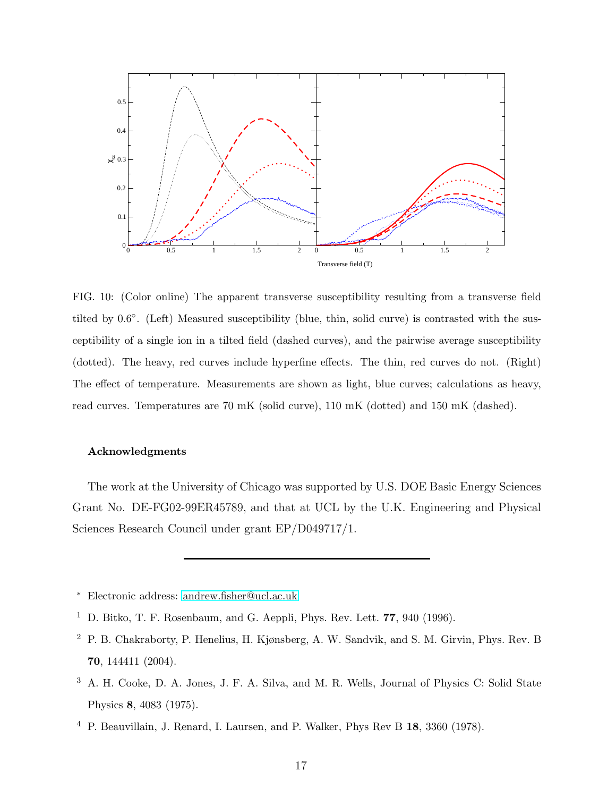![](_page_16_Figure_0.jpeg)

<span id="page-16-5"></span>FIG. 10: (Color online) The apparent transverse susceptibility resulting from a transverse field tilted by 0.6°. (Left) Measured susceptibility (blue, thin, solid curve) is contrasted with the susceptibility of a single ion in a tilted field (dashed curves), and the pairwise average susceptibility (dotted). The heavy, red curves include hyperfine effects. The thin, red curves do not. (Right) The effect of temperature. Measurements are shown as light, blue curves; calculations as heavy, read curves. Temperatures are 70 mK (solid curve), 110 mK (dotted) and 150 mK (dashed).

# Acknowledgments

The work at the University of Chicago was supported by U.S. DOE Basic Energy Sciences Grant No. DE-FG02-99ER45789, and that at UCL by the U.K. Engineering and Physical Sciences Research Council under grant EP/D049717/1.

<sup>∗</sup> Electronic address: [andrew.fisher@ucl.ac.uk](mailto:andrew.fisher@ucl.ac.uk)

<span id="page-16-1"></span><span id="page-16-0"></span><sup>&</sup>lt;sup>1</sup> D. Bitko, T. F. Rosenbaum, and G. Aeppli, Phys. Rev. Lett.  $77$ , 940 (1996).

<span id="page-16-2"></span><sup>2</sup> P. B. Chakraborty, P. Henelius, H. Kjønsberg, A. W. Sandvik, and S. M. Girvin, Phys. Rev. B 70, 144411 (2004).

<span id="page-16-3"></span><sup>3</sup> A. H. Cooke, D. A. Jones, J. F. A. Silva, and M. R. Wells, Journal of Physics C: Solid State Physics 8, 4083 (1975).

<span id="page-16-4"></span><sup>4</sup> P. Beauvillain, J. Renard, I. Laursen, and P. Walker, Phys Rev B 18, 3360 (1978).